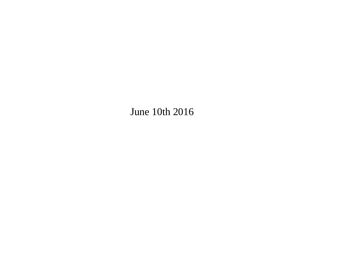June 10th 2016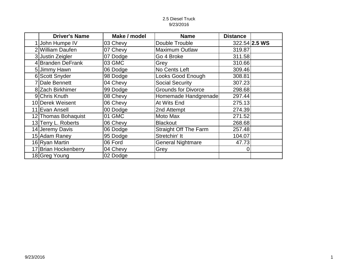#### 2.5 Diesel Truck 9/23/2016

| <b>Driver's Name</b> | Make / model | <b>Name</b>                  | <b>Distance</b> |               |
|----------------------|--------------|------------------------------|-----------------|---------------|
| 1 John Humpe IV      | 03 Chevy     | Double Trouble               |                 | 322.54 2.5 WS |
| 2 William Daufen     | 07 Chevy     | Maximum Outlaw               | 319.87          |               |
| 3 Justin Zeigler     | 07 Dodge     | Go 4 Broke                   | 311.58          |               |
| 4 Branden DeFrank    | 03 GMC       | Grey                         | 310.66          |               |
| 5 Jimmy Hawn         | 06 Dodge     | No Cents Left                | 309.46          |               |
| 6 Scott Snyder       | 98 Dodge     | Looks Good Enough            | 308.81          |               |
| 7 Dale Bennett       | 04 Chevy     | <b>Social Security</b>       | 307.23          |               |
| 8 Zach Birkhimer     | 99 Dodge     | <b>Grounds for Divorce</b>   | 298.68          |               |
| 9 Chris Knuth        | 08 Chevy     | Homemade Handgrenade         | 297.44          |               |
| 10 Derek Weisent     | 06 Chevy     | At Wits End                  | 275.13          |               |
| 11 Evan Ansell       | 00 Dodge     | 2nd Attempt                  | 274.39          |               |
| 12 Thomas Bohaquist  | 01 GMC       | Moto Max                     | 271.52          |               |
| 13 Terry L. Roberts  | 06 Chevy     | <b>Blackout</b>              | 268.68          |               |
| 14 Jeremy Davis      | 06 Dodge     | <b>Straight Off The Farm</b> | 257.48          |               |
| 15 Adam Raney        | 95 Dodge     | Stretchin' It                | 104.07          |               |
| 16 Ryan Martin       | 06 Ford      | <b>General Nightmare</b>     | 47.73           |               |
| 17 Brian Hockenberry | 04 Chevy     | Grey                         |                 |               |
| 18 Greg Young        | 02 Dodge     |                              |                 |               |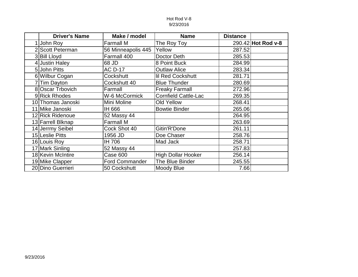#### Hot Rod V-8 9/23/2016

| <b>Driver's Name</b> | Make / model          | <b>Name</b>                 | <b>Distance</b> |                    |
|----------------------|-----------------------|-----------------------------|-----------------|--------------------|
| 1 John Roy           | <b>Farmall M</b>      | The Roy Toy                 |                 | 290.42 Hot Rod v-8 |
| 2 Scott Peterman     | 56 Minneapolis 445    | Yellow                      | 287.52          |                    |
| 3 Bill Lloyd         | Farmall 400           | Doctor Deth                 | 285.53          |                    |
| 4 Justin Haley       | 68 JD                 | 8 Point Buck                | 284.99          |                    |
| 5 John Pitts         | <b>AC D-17</b>        | <b>Outlaw Alice</b>         | 283.34          |                    |
| 6 Wilbur Cogan       | Cockshutt             | <b>Iil Red Cockshutt</b>    | 281.71          |                    |
| 7 Tim Dayton         | Cockshutt 40          | <b>Blue Thunder</b>         | 280.69          |                    |
| 8 Oscar Trbovich     | Farmall               | <b>Freaky Farmall</b>       | 272.96          |                    |
| 9 Rick Rhodes        | W-6 McCormick         | <b>Cornfield Cattle-Lac</b> | 269.35          |                    |
| 10 Thomas Janoski    | Mini Moline           | <b>Old Yellow</b>           | 268.41          |                    |
| 11 Mike Janoski      | IH 666                | <b>Bowtie Binder</b>        | 265.06          |                    |
| 12 Rick Ridenoue     | 52 Massy 44           |                             | 264.95          |                    |
| 13 Farrell Blknap    | <b>Farmall M</b>      |                             | 263.69          |                    |
| 14 Jerrmy Seibel     | Cock Shot 40          | Gitin'R'Done                | 261.11          |                    |
| 15 Leslie Pitts      | 1956 JD               | Doe Chaser                  | 258.76          |                    |
| 16 Louis Roy         | IH 706                | Mad Jack                    | 258.71          |                    |
| 17 Mark Sinling      | 52 Massy 44           |                             | 257.83          |                    |
| 18 Kevin McIntire    | Case 600              | <b>High Dollar Hooker</b>   | 256.14          |                    |
| 19 Mike Clapper      | <b>Ford Commander</b> | The Blue Binder             | 245.55          |                    |
| 20 Dino Guerrieri    | 50 Cockshutt          | Moody Blue                  | 7.66            |                    |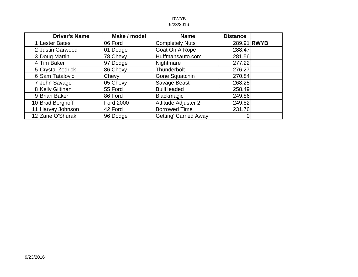#### RWYB 9/23/2016

| <b>Driver's Name</b> | Make / model     | <b>Name</b>                  | <b>Distance</b> |  |
|----------------------|------------------|------------------------------|-----------------|--|
| 1 Lester Bates       | 06 Ford          | <b>Completely Nuts</b>       | 289.91 RWYB     |  |
| 2 Justin Garwood     | 01 Dodge         | Goat On A Rope               | 288.47          |  |
| 3 Doug Martin        | 78 Chevy         | Huffmansauto.com             | 281.56          |  |
| 4 Tim Baker          | 97 Dodge         | Nightmare                    | 277.22          |  |
| 5 Crystal Zedrick    | 86 Chevy         | Thunderbolt                  | 276.27          |  |
| 6 Sam Tatalovic      | Chevy            | Gone Squatchin               | 270.84          |  |
| 7 John Savage        | 05 Chevy         | Savage Beast                 | 268.25          |  |
| 8 Kelly Giltinan     | 55 Ford          | <b>BullHeaded</b>            | 258.49          |  |
| 9 Brian Baker        | 86 Ford          | <b>Blackmagic</b>            | 249.86          |  |
| 10 Brad Berghoff     | <b>Ford 2000</b> | <b>Attitude Adjuster 2</b>   | 249.82          |  |
| 11 Harvey Johnson    | 42 Ford          | <b>Borrowed Time</b>         | 231.76          |  |
| 12 Zane O'Shurak     | 96 Dodge         | <b>Getting' Carried Away</b> |                 |  |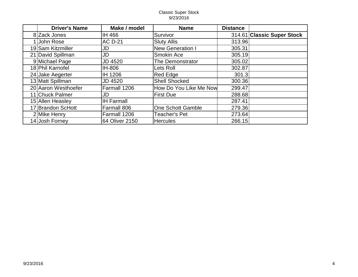#### Classic Super Stock 9/23/2016

| <b>Driver's Name</b> | Make / model      | <b>Name</b>              | <b>Distance</b> |                            |
|----------------------|-------------------|--------------------------|-----------------|----------------------------|
| 8 Zack Jones         | IH 466            | Survivor                 |                 | 314.61 Classic Super Stock |
| 1 John Rose          | <b>AC D-21</b>    | <b>Sluty Allis</b>       | 313.96          |                            |
| 19 Sam Kitzmiller    | JD                | <b>New Generation I</b>  | 305.31          |                            |
| 21 David Spillman    | JD                | Smokin Ace               | 305.19          |                            |
| 9 Michael Page       | <b>JD 4520</b>    | The Demonstrator         | 305.02          |                            |
| 18 Phil Karnofel     | IH-806            | Lets Roll                | 302.87          |                            |
| 24 Jake Aegerter     | IH 1206           | Red Edge                 | 301.3           |                            |
| 13 Matt Spillman     | JD 4520           | <b>Shell Shocked</b>     | 300.36          |                            |
| 20 Aaron Westhoefer  | Farmall 1206      | How Do You Like Me Now   | 299.47          |                            |
| 11 Chuck Palmer      | JD                | <b>First Due</b>         | 288.68          |                            |
| 15 Allen Heasley     | <b>IH Farmall</b> |                          | 287.41          |                            |
| 17 Brandon ScHott    | Farmall 806       | <b>One Schott Gamble</b> | 279.36          |                            |
| 2 Mike Henry         | Farmall 1206      | <b>Teacher's Pet</b>     | 273.64          |                            |
| 14 Josh Forney       | 64 Oliver 2150    | <b>Hercules</b>          | 266.15          |                            |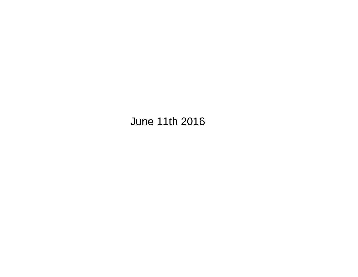## **June 11th 2016**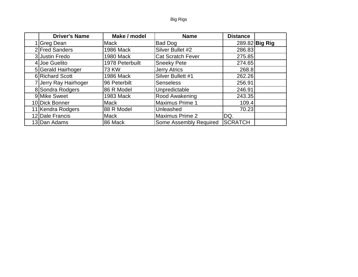### Big Rigs

| <b>Driver's Name</b>  | Make / model     | <b>Name</b>              | <b>Distance</b> |                |
|-----------------------|------------------|--------------------------|-----------------|----------------|
| 1 Greg Dean           | <b>Mack</b>      | Bad Dog                  |                 | 289.82 Big Rig |
| 2 Fred Sanders        | <b>1986 Mack</b> | Silver Bullet #2         | 286.83          |                |
| 3 Justin Fredo        | <b>1980 Mack</b> | <b>Cat Scratch Fever</b> | 275.85          |                |
| 4 Joe Guelito         | 1978 Peterbuilt  | <b>Sneeky Pete</b>       | 274.65          |                |
| 5 Gerald Hairhoger    | 73 KW            | Jerry Atrics             | 268.8           |                |
| 6 Richard Scott       | <b>1986 Mack</b> | Silver Bullett #1        | 262.26          |                |
| 7 Jerry Ray Hairhoger | 96 Peterbilt     | <b>Senseless</b>         | 256.91          |                |
| 8 Sondra Rodgers      | 86 R Model       | Unpredictable            | 246.91          |                |
| 9 Mike Sweet          | 1983 Mack        | Rood Awakening           | 243.35          |                |
| 10 Dick Bonner        | <b>Mack</b>      | <b>Maximus Prime 1</b>   | 109.4           |                |
| 11 Kendra Rodgers     | 88 R Model       | Unleashed                | 70.23           |                |
| 12 Dale Francis       | <b>Mack</b>      | <b>Maximus Prime 2</b>   | DQ.             |                |
| 13 Dan Adams          | 86 Mack          | Some Assembly Required   | <b>SCRATCH</b>  |                |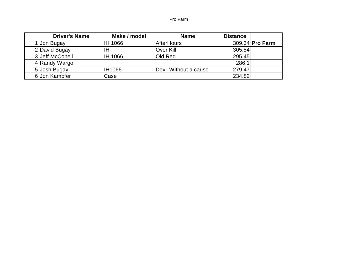#### Pro Farm

| <b>Driver's Name</b> | Make / model | <b>Name</b>           | <b>Distance</b> |                 |
|----------------------|--------------|-----------------------|-----------------|-----------------|
| 1 Jon Bugay          | IH 1066      | <b>AfterHours</b>     |                 | 309.34 Pro Farm |
| 2 David Bugay        |              | Over Kill             | 305.54          |                 |
| 3 Jeff McConell      | IH 1066      | Old Red               | 295.45          |                 |
| 4 Randy Wargo        |              |                       | 286.1           |                 |
| 5 Josh Bugay         | IH1066       | Devil Without a cause | 279.47          |                 |
| 6 Jon Kampfer        | Case         |                       | 234.82          |                 |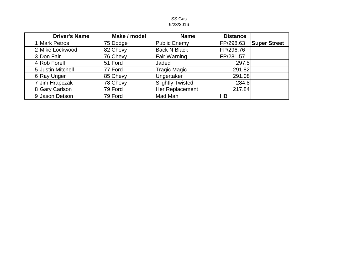#### SS Gas 9/23/2016

| <b>Driver's Name</b> | Make / model | <b>Name</b>             | <b>Distance</b> |                     |
|----------------------|--------------|-------------------------|-----------------|---------------------|
| 1 Mark Petros        | 75 Dodge     | Public Enemy            | FP/298.63       | <b>Super Street</b> |
| 2 Mike Lockwood      | 82 Chevy     | <b>Back N Black</b>     | FP/296.76       |                     |
| 3 Don Fair           | 76 Chevy     | Fair Warning            | FP/281.57       |                     |
| 4 Rob Forell         | 51 Ford      | Jaded                   | 297.5           |                     |
| 5 Justin Mitchell    | 77 Ford      | <b>Tragic Magic</b>     | 291.82          |                     |
| 6 Ray Unger          | 85 Chevy     | Ungertaker              | 291.08          |                     |
| 7 Jim Hrapczak       | 78 Chevy     | <b>Slightly Twisted</b> | 284.8           |                     |
| 8 Gary Carlson       | 79 Ford      | Her Replacement         | 217.84          |                     |
| 9 Jason Detson       | 79 Ford      | Mad Man                 | HB              |                     |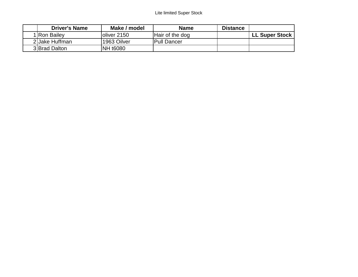| <b>Driver's Name</b> | Make / model | <b>Name</b>     | <b>Distance</b> |                       |
|----------------------|--------------|-----------------|-----------------|-----------------------|
| 1 Ron Bailey         | loliver 2150 | Hair of the dog |                 | <b>LL Super Stock</b> |
| 2 Jake Huffman       | 1963 Oilver  | Pull Dancer     |                 |                       |
| 3 Brad Dalton        | NH t6080     |                 |                 |                       |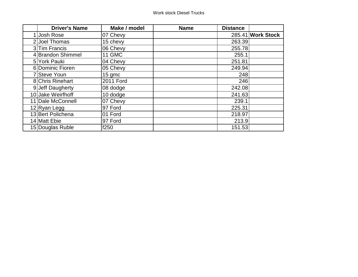| <b>Driver's Name</b> | Make / model  | <b>Name</b> | <b>Distance</b> |                   |
|----------------------|---------------|-------------|-----------------|-------------------|
| 1 Josh Rose          | 07 Chevy      |             |                 | 285.41 Work Stock |
| 2 Joel Thomas        | 15 chevy      |             | 263.39          |                   |
| 3 Tim Francis        | 06 Chevy      |             | 255.78          |                   |
| 4 Brandon Shimmel    | <b>11 GMC</b> |             | 255.1           |                   |
| 5 York Pauki         | 04 Chevy      |             | 251.81          |                   |
| 6 Dominic Fioren     | 05 Chevy      |             | 249.94          |                   |
| 7 Steve Youn         | 15 gmc        |             | 248             |                   |
| 8 Chris Rinehart     | 2011 Ford     |             | 246             |                   |
| 9 Jeff Daugherty     | 08 dodge      |             | 242.08          |                   |
| 10 Jake Weirfhoff    | 10 dodge      |             | 241.63          |                   |
| 11 Dale McConnell    | 07 Chevy      |             | 239.1           |                   |
| 12 Ryan Legg         | 97 Ford       |             | 225.31          |                   |
| 13 Bert Polichena    | 01 Ford       |             | 218.97          |                   |
| 14 Matt Ebie         | 97 Ford       |             | 213.9           |                   |
| 15 Douglas Ruble     | f250          |             | 151.53          |                   |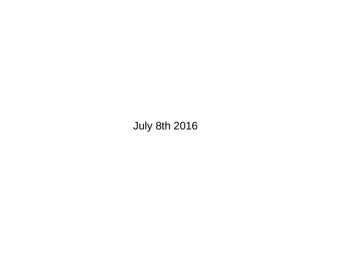# **July 8th 2016**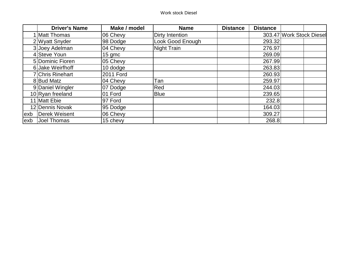|      | <b>Driver's Name</b> | Make / model     | <b>Name</b>      | <b>Distance</b> | <b>Distance</b> |                          |
|------|----------------------|------------------|------------------|-----------------|-----------------|--------------------------|
|      | 1 Matt Thomas        | 06 Chevy         | Dirty Intention  |                 |                 | 303.47 Work Stock Diesel |
|      | 2 Wyatt Snyder       | 98 Dodge         | Look Good Enough |                 | 293.32          |                          |
|      | 3 Joey Adelman       | 04 Chevy         | Night Train      |                 | 276.97          |                          |
|      | 4 Steve Youn         | $15$ gmc         |                  |                 | 269.09          |                          |
|      | 5 Dominic Fioren     | 05 Chevy         |                  |                 | 267.99          |                          |
|      | 6 Jake Weirfhoff     | 10 dodge         |                  |                 | 263.83          |                          |
|      | 7 Chris Rinehart     | <b>2011 Ford</b> |                  |                 | 260.93          |                          |
|      | 8 Bud Matz           | 04 Chevy         | Tan              |                 | 259.97          |                          |
|      | 9 Daniel Wingler     | 07 Dodge         | Red              |                 | 244.03          |                          |
|      | 10 Ryan freeland     | 01 Ford          | <b>Blue</b>      |                 | 239.65          |                          |
|      | 11 Matt Ebie         | 97 Ford          |                  |                 | 232.8           |                          |
|      | 12 Dennis Novak      | 95 Dodge         |                  |                 | 164.03          |                          |
| exb  | Derek Weisent        | 06 Chevy         |                  |                 | 309.27          |                          |
| lexb | Joel Thomas          | 15 chevy         |                  |                 | 268.8           |                          |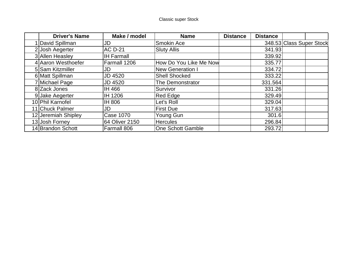| <b>Driver's Name</b> | Make / model      | <b>Name</b>              | <b>Distance</b> | <b>Distance</b> |                          |
|----------------------|-------------------|--------------------------|-----------------|-----------------|--------------------------|
| David Spillman       | JD                | Smokin Ace               |                 |                 | 348.53 Class Super Stock |
| 2 Josh Aegerter      | <b>AC D-21</b>    | <b>Sluty Allis</b>       |                 | 341.93          |                          |
| 3 Allen Heasley      | <b>IH Farmall</b> |                          |                 | 339.92          |                          |
| 4 Aaron Westhoefer   | Farmall 1206      | How Do You Like Me Now   |                 | 335.77          |                          |
| 5 Sam Kitzmiller     | JD                | <b>New Generation I</b>  |                 | 334.72          |                          |
| 6 Matt Spillman      | JD 4520           | <b>Shell Shocked</b>     |                 | 333.22          |                          |
| 7 Michael Page       | <b>JD 4520</b>    | <b>The Demonstrator</b>  |                 | 331.564         |                          |
| 8 Zack Jones         | IH 466            | Survivor                 |                 | 331.26          |                          |
| 9 Jake Aegerter      | IH 1206           | Red Edge                 |                 | 329.49          |                          |
| 10 Phil Karnofel     | <b>IH 806</b>     | Let's Roll               |                 | 329.04          |                          |
| 11 Chuck Palmer      | JD                | <b>First Due</b>         |                 | 317.63          |                          |
| 12 Jeremiah Shipley  | Case 1070         | Young Gun                |                 | 301.6           |                          |
| 13 Josh Forney       | 64 Oliver 2150    | <b>Hercules</b>          |                 | 296.84          |                          |
| 14 Brandon Schott    | Farmall 806       | <b>One Schott Gamble</b> |                 | 293.72          |                          |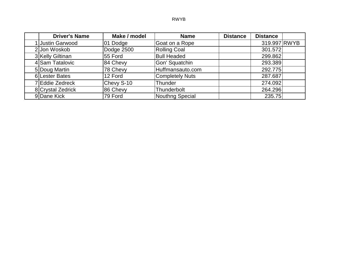#### RWYB

| <b>Driver's Name</b> | Make / model | <b>Name</b>         | <b>Distance</b> | <b>Distance</b> |  |
|----------------------|--------------|---------------------|-----------------|-----------------|--|
| 1 Justin Garwood     | 01 Dodge     | Goat on a Rope      |                 | 319.997 RWYB    |  |
| 2 Jon Woskob         | Dodge 2500   | <b>Rolling Coal</b> |                 | 301.572         |  |
| 3 Kelly Giltinan     | 55 Ford      | <b>Bull Headed</b>  |                 | 299.862         |  |
| 4 Sam Tatalovic      | 84 Chevy     | Gon' Squatchin      |                 | 293.389         |  |
| 5 Doug Martin        | 78 Chevy     | Huffmansauto.com    |                 | 292.775         |  |
| 6 Lester Bates       | 12 Ford      | Completely Nuts     |                 | 287.687         |  |
| 7 Eddie Zedreck      | Chevy S-10   | Thunder             |                 | 274.092         |  |
| 8 Crystal Zedrick    | 86 Chevy     | Thunderbolt         |                 | 264.296         |  |
| 9 Dane Kick          | 79 Ford      | Nouthng Special     |                 | 235.75          |  |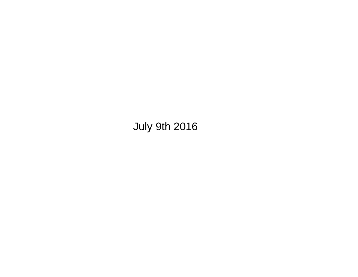**July 9th 2016**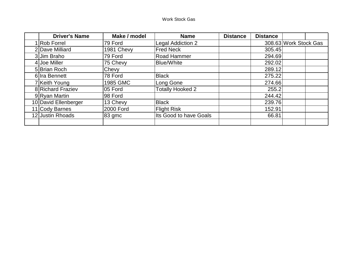| <b>Driver's Name</b> | Make / model | <b>Name</b>             | <b>Distance</b> | <b>Distance</b> |                       |
|----------------------|--------------|-------------------------|-----------------|-----------------|-----------------------|
| <b>Rob Forrel</b>    | 79 Ford      | Legal Addiction 2       |                 |                 | 308.63 Work Stock Gas |
| 2 Dave Milliard      | 1981 Chevy   | <b>Fred Neck</b>        |                 | 305.45          |                       |
| 3 Jim Braho          | 79 Ford      | Road Hammer             |                 | 294.69          |                       |
| 4 Joe Miller         | 75 Chevy     | <b>Blue/White</b>       |                 | 292.02          |                       |
| 5 Brian Roch         | Chevy        |                         |                 | 289.12          |                       |
| 6 Ira Bennett        | 78 Ford      | <b>Black</b>            |                 | 275.22          |                       |
| 7 Keith Young        | 1985 GMC     | Long Gone               |                 | 274.66          |                       |
| 8 Richard Fraziev    | 05 Ford      | <b>Totally Hooked 2</b> |                 | 255.2           |                       |
| 9 Ryan Martin        | 98 Ford      |                         |                 | 244.42          |                       |
| 10 David Ellenberger | 13 Chevy     | <b>Black</b>            |                 | 239.76          |                       |
| 11 Cody Barnes       | 2000 Ford    | <b>Flight Risk</b>      |                 | 152.91          |                       |
| 12 Justin Rhoads     | 83 gmc       | Its Good to have Goals  |                 | 66.81           |                       |
|                      |              |                         |                 |                 |                       |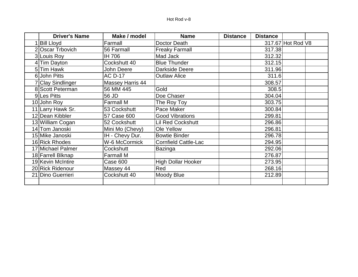| <b>Driver's Name</b> | Make / model            | <b>Name</b>                 | <b>Distance</b> | <b>Distance</b> |                   |  |
|----------------------|-------------------------|-----------------------------|-----------------|-----------------|-------------------|--|
| <b>Bill Lloyd</b>    | Farmall                 | Doctor Death                |                 |                 | 317.67 Hot Rod V8 |  |
| 2 Oscar Trbovich     | 56 Farmall              | <b>Freaky Farmall</b>       |                 | 317.38          |                   |  |
| 3 Louis Roy          | IH 706                  | Mad Jack                    |                 | 312.32          |                   |  |
| 4 Tim Dayton         | Cockshutt 40            | <b>Blue Thunder</b>         |                 | 312.15          |                   |  |
| 5Tim Hawk            | John Deere              | Darkside Deere              |                 | 311.96          |                   |  |
| 6 John Pitts         | <b>AC D-17</b>          | <b>Outlaw Alice</b>         |                 | 311.6           |                   |  |
| 7 Clay Sindlinger    | <b>Massey Harris 44</b> |                             |                 | 308.57          |                   |  |
| 8 Scott Peterman     | 56 MM 445               | Gold                        |                 | 308.5           |                   |  |
| 9Les Pitts           | 56 JD                   | Doe Chaser                  |                 | 304.04          |                   |  |
| 10 John Roy          | <b>Farmall M</b>        | The Roy Toy                 |                 | 303.75          |                   |  |
| 11 Larry Hawk Sr.    | 53 Cockshutt            | Pace Maker                  |                 | 300.84          |                   |  |
| 12 Dean Kibbler      | 57 Case 600             | <b>Good Vibrations</b>      |                 | 299.81          |                   |  |
| 13 William Cogan     | 52 Cockshutt            | <b>Lil Red Cockshutt</b>    |                 | 296.86          |                   |  |
| 14 Tom Janoski       | Mini Mo (Chevy)         | <b>Ole Yellow</b>           |                 | 296.81          |                   |  |
| 15 Mike Janoski      | IH - Chevy Dur.         | <b>Bowtie Binder</b>        |                 | 296.78          |                   |  |
| 16 Rick Rhodes       | W-6 McCormick           | <b>Cornfield Cattle-Lac</b> |                 | 294.95          |                   |  |
| 17 Michael Palmer    | Cockshutt               | <b>Bazinga</b>              |                 | 292.06          |                   |  |
| 18 Farrell Blknap    | <b>Farmall M</b>        |                             |                 | 276.87          |                   |  |
| 19 Kevin McIntire    | Case 600                | <b>High Dollar Hooker</b>   |                 | 273.95          |                   |  |
| 20 Rick Ridenour     | Massey 44               | Red                         |                 | 268.16          |                   |  |
| 21 Dino Guerrieri    | Cockshutt 40            | Moody Blue                  |                 | 212.89          |                   |  |
|                      |                         |                             |                 |                 |                   |  |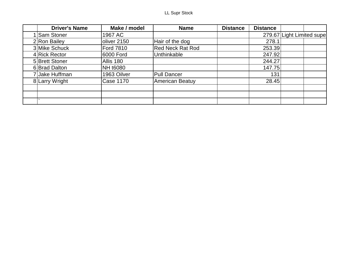| <b>Driver's Name</b> | Make / model     | <b>Name</b>             | <b>Distance</b> | <b>Distance</b> |                           |
|----------------------|------------------|-------------------------|-----------------|-----------------|---------------------------|
| <b>Sam Stoner</b>    | 1967 AC          |                         |                 |                 | 279.67 Light Limited supe |
| $2 R$ on Bailey      | oliver 2150      | Hair of the dog         |                 | 278.1           |                           |
| 3 Mike Schuck        | <b>Ford 7810</b> | <b>Red Neck Rat Rod</b> |                 | 253.39          |                           |
| 4 Rick Rector        | 6000 Ford        | Unthinkable             |                 | 247.92          |                           |
| 5 Brett Stoner       | Allis 180        |                         |                 | 244.27          |                           |
| 6 Brad Dalton        | NH t6080         |                         |                 | 147.75          |                           |
| 7 Jake Huffman       | 1963 Oilver      | <b>Pull Dancer</b>      |                 | 131             |                           |
| 8 Larry Wright       | Case 1170        | American Beatuy         |                 | 28.45           |                           |
|                      |                  |                         |                 |                 |                           |
|                      |                  |                         |                 |                 |                           |
|                      |                  |                         |                 |                 |                           |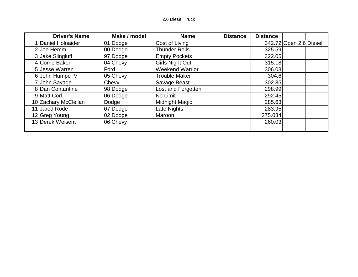#### 2.6 Diesel Truck

| <b>Driver's Name</b> | Make / model | <b>Name</b>            | <b>Distance</b> | <b>Distance</b> |                        |
|----------------------|--------------|------------------------|-----------------|-----------------|------------------------|
| 1 Daniel Holnaider   | 01 Dodge     | Cost of Living         |                 |                 | 342.72 Open 2.6 Diesel |
| 2 Joe Hemm           | 00 Dodge     | <b>Thunder Rolls</b>   |                 | 325.59          |                        |
| 3 Jake Slingluff     | 97 Dodge     | <b>Empty Pockets</b>   |                 | 322.05          |                        |
| 4 Corrie Baker       | 04 Chevy     | <b>Girls Night Out</b> |                 | 315.18          |                        |
| 5 Jesse Warren       | Ford         | <b>Weekend Warrior</b> |                 | 306.03          |                        |
| 6 John Humpe IV      | 05 Chevy     | <b>Trouble Maker</b>   |                 | 304.6           |                        |
| 7 John Savage        | Chevy        | Savage Beast           |                 | 302.35          |                        |
| 8 Dan Contantine     | 98 Dodge     | Lost and Forgotten     |                 | 298.99          |                        |
| 9 Matt Corl          | 06 Dodge     | No Limit               |                 | 292.45          |                        |
| 10 Zachary McClellan | Dodge        | Midnight Magic         |                 | 285.63          |                        |
| 11 Jared Rode        | 07 Dodge     | Late Nights            |                 | 283.95          |                        |
| 12 Greg Young        | 02 Dodge     | Maroon                 |                 | 275.034         |                        |
| 13 Derek Weisent     | 06 Chevy     |                        |                 | 260.03          |                        |
|                      |              |                        |                 |                 |                        |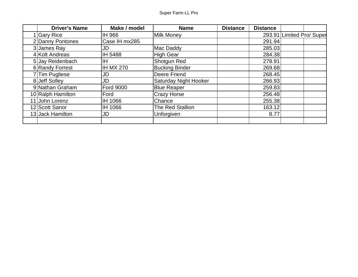| <b>Driver's Name</b> | Make / model     | <b>Name</b>           | <b>Distance</b> | <b>Distance</b> |                           |  |
|----------------------|------------------|-----------------------|-----------------|-----------------|---------------------------|--|
| 1 Gary Rice          | IH 966           | <b>Milk Money</b>     |                 |                 | 293.91 Limited Pro/ Super |  |
| 2 Danny Pontones     | Case IH mx285    |                       |                 | 291.94          |                           |  |
| 3 James Ray          | JD               | Mac Daddy             |                 | 285.03          |                           |  |
| 4 Kolt Andreas       | IH 5488          | <b>High Gear</b>      |                 | 284.38          |                           |  |
| 5 Jay Reidenbach     | ΙH               | Shotgun Red           |                 | 278.91          |                           |  |
| 6 Randy Forrest      | <b>IH MX 270</b> | <b>Bucking Binder</b> |                 | 269.68          |                           |  |
| 7Tim Pugliese        | JD               | Deere Friend          |                 | 268.45          |                           |  |
| 8 Jeff Solley        | JD               | Saturday Night Hooker |                 | 266.93          |                           |  |
| 9 Nathan Graham      | <b>Ford 9000</b> | <b>Blue Reaper</b>    |                 | 259.83          |                           |  |
| 10 Ralph Hamilton    | Ford             | <b>Crazy Horse</b>    |                 | 256.48          |                           |  |
| 11 John Lorenz       | IH 1066          | Chance                |                 | 255.38          |                           |  |
| 12 Scott Sanor       | IH 1066          | The Red Stallion      |                 | 163.12          |                           |  |
| 13 Jack Hamilton     | JD               | Unforgiven            |                 | 8.77            |                           |  |
|                      |                  |                       |                 |                 |                           |  |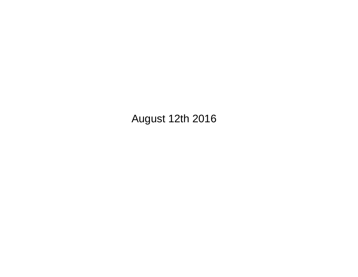**August 12th 2016**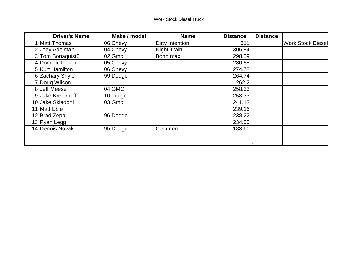| <b>Driver's Name</b> | Make / model | <b>Name</b>     | <b>Distance</b> | <b>Distance</b> |                          |  |
|----------------------|--------------|-----------------|-----------------|-----------------|--------------------------|--|
| Matt Thomas          | 06 Chevy     | Dirty Intention | 311             |                 | <b>Work Stock Diesel</b> |  |
| 2 Joey Adelman       | 04 Chevy     | Night Train     | 306.84          |                 |                          |  |
| 3 Tom Bonaquist0     | 02 Gmc       | Bono max        | 298.59          |                 |                          |  |
| 4 Dominic Fioren     | 05 Chevy     |                 | 280.65          |                 |                          |  |
| 5 Kurt Hamilton      | 06 Chevy     |                 | 274.78          |                 |                          |  |
| 6 Zachary Snyler     | 99 Dodge     |                 | 264.74          |                 |                          |  |
| 7 Doug Wilson        |              |                 | 262.2           |                 |                          |  |
| 8 Jeff Meese         | 04 GMC       |                 | 258.33          |                 |                          |  |
| 9 Jake Kreiernoff    | 10 dodge     |                 | 253.33          |                 |                          |  |
| 10 Jake Skladoni     | 03 Gmc       |                 | 241.13          |                 |                          |  |
| 11 Matt Ebie         |              |                 | 239.16          |                 |                          |  |
| 12 Brad Zepp         | 96 Dodge     |                 | 238.22          |                 |                          |  |
| 13 Ryan Legg         |              |                 | 234.65          |                 |                          |  |
| 14 Dennis Novak      | 95 Dodge     | Common          | 183.61          |                 |                          |  |
|                      |              |                 |                 |                 |                          |  |
|                      |              |                 |                 |                 |                          |  |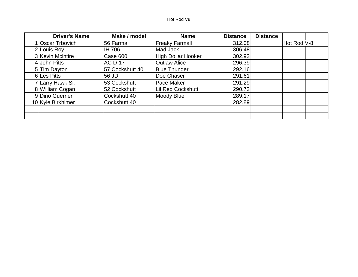#### Hot Rod V8

| <b>Driver's Name</b> | Make / model    | <b>Name</b>               | <b>Distance</b> | <b>Distance</b> |             |  |
|----------------------|-----------------|---------------------------|-----------------|-----------------|-------------|--|
| 1 Oscar Trbovich     | 56 Farmall      | <b>Freaky Farmall</b>     | 312.08          |                 | Hot Rod V-8 |  |
| 2 Louis Roy          | <b>IH 706</b>   | Mad Jack                  | 306.48          |                 |             |  |
| 3 Kevin McIntire     | Case 600        | <b>High Dollar Hooker</b> | 302.93          |                 |             |  |
| 4 John Pitts         | <b>AC D-17</b>  | <b>Outlaw Alice</b>       | 296.39          |                 |             |  |
| 5 Tim Dayton         | 57 Cockshutt 40 | <b>Blue Thunder</b>       | 292.16          |                 |             |  |
| 6 Les Pitts          | 56 JD           | Doe Chaser                | 291.61          |                 |             |  |
| 7 Larry Hawk Sr.     | 53 Cockshutt    | Pace Maker                | 291.29          |                 |             |  |
| 8 William Cogan      | 52 Cockshutt    | <b>Lil Red Cockshutt</b>  | 290.73          |                 |             |  |
| 9 Dino Guerrieri     | Cockshutt 40    | Moody Blue                | 289.17          |                 |             |  |
| 10 Kyle Birkhimer    | Cockshutt 40    |                           | 282.89          |                 |             |  |
|                      |                 |                           |                 |                 |             |  |
|                      |                 |                           |                 |                 |             |  |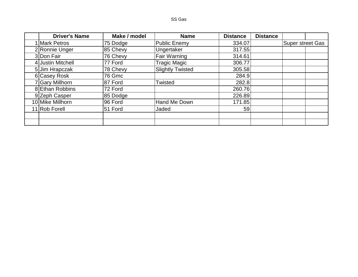#### SS Gas

| <b>Driver's Name</b> | Make / model | <b>Name</b>             | <b>Distance</b> | <b>Distance</b> |                         |  |
|----------------------|--------------|-------------------------|-----------------|-----------------|-------------------------|--|
| <b>Mark Petros</b>   | 75 Dodge     | Public Enemy            | 334.07          |                 | <b>Super street Gas</b> |  |
| 2 Ronnie Unger       | 85 Chevy     | Ungertaker              | 317.55          |                 |                         |  |
| 3 Don Fair           | 76 Chevy     | Fair Warning            | 314.61          |                 |                         |  |
| 4 Justin Mitchell    | 77 Ford      | <b>Tragic Magic</b>     | 306.77          |                 |                         |  |
| 5 Jim Hrapczak       | 78 Chevy     | <b>Slightly Twisted</b> | 305.58          |                 |                         |  |
| 6 Casey Rosk         | 76 Gmc       |                         | 284.9           |                 |                         |  |
| 7 Gary Millhorn      | 87 Ford      | Twisted                 | 282.8           |                 |                         |  |
| 8 Ethan Robbins      | 72 Ford      |                         | 260.76          |                 |                         |  |
| 9 Zeph Casper        | 85 Dodge     |                         | 226.89          |                 |                         |  |
| 10 Mike Millhorn     | 96 Ford      | Hand Me Down            | 171.85          |                 |                         |  |
| 11 Rob Forell        | 51 Ford      | Jaded                   | 59              |                 |                         |  |
|                      |              |                         |                 |                 |                         |  |
|                      |              |                         |                 |                 |                         |  |